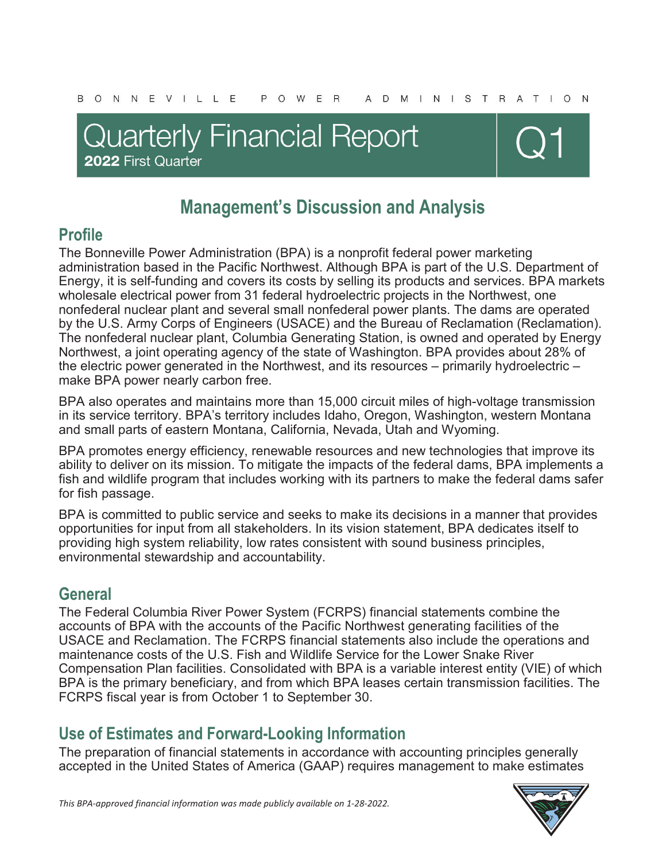## **Quarterly Financial Report** 2022 First Quarter



## **Management's Discussion and Analysis**

## **Profile**

The Bonneville Power Administration (BPA) is a nonprofit federal power marketing administration based in the Pacific Northwest. Although BPA is part of the U.S. Department of Energy, it is self-funding and covers its costs by selling its products and services. BPA markets wholesale electrical power from 31 federal hydroelectric projects in the Northwest, one nonfederal nuclear plant and several small nonfederal power plants. The dams are operated by the U.S. Army Corps of Engineers (USACE) and the Bureau of Reclamation (Reclamation). The nonfederal nuclear plant, Columbia Generating Station, is owned and operated by Energy Northwest, a joint operating agency of the state of Washington. BPA provides about 28% of the electric power generated in the Northwest, and its resources – primarily hydroelectric – make BPA power nearly carbon free.

BPA also operates and maintains more than 15,000 circuit miles of high-voltage transmission in its service territory. BPA's territory includes Idaho, Oregon, Washington, western Montana and small parts of eastern Montana, California, Nevada, Utah and Wyoming.

BPA promotes energy efficiency, renewable resources and new technologies that improve its ability to deliver on its mission. To mitigate the impacts of the federal dams, BPA implements a fish and wildlife program that includes working with its partners to make the federal dams safer for fish passage.

BPA is committed to public service and seeks to make its decisions in a manner that provides opportunities for input from all stakeholders. In its vision statement, BPA dedicates itself to providing high system reliability, low rates consistent with sound business principles, environmental stewardship and accountability.

### **General**

The Federal Columbia River Power System (FCRPS) financial statements combine the accounts of BPA with the accounts of the Pacific Northwest generating facilities of the USACE and Reclamation. The FCRPS financial statements also include the operations and maintenance costs of the U.S. Fish and Wildlife Service for the Lower Snake River Compensation Plan facilities. Consolidated with BPA is a variable interest entity (VIE) of which BPA is the primary beneficiary, and from which BPA leases certain transmission facilities. The FCRPS fiscal year is from October 1 to September 30.

## **Use of Estimates and Forward-Looking Information**

The preparation of financial statements in accordance with accounting principles generally accepted in the United States of America (GAAP) requires management to make estimates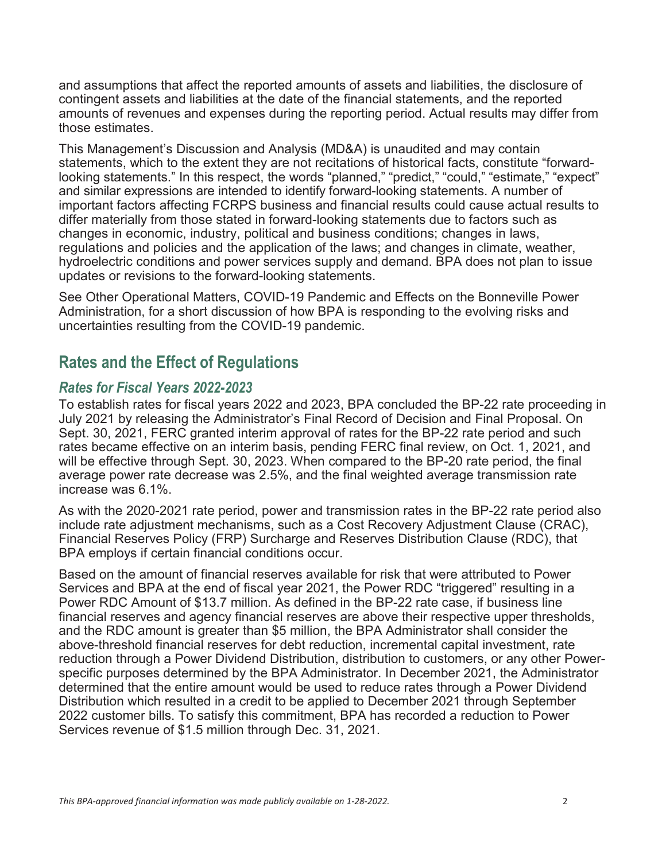and assumptions that affect the reported amounts of assets and liabilities, the disclosure of contingent assets and liabilities at the date of the financial statements, and the reported amounts of revenues and expenses during the reporting period. Actual results may differ from those estimates.

This Management's Discussion and Analysis (MD&A) is unaudited and may contain statements, which to the extent they are not recitations of historical facts, constitute "forwardlooking statements." In this respect, the words "planned," "predict," "could," "estimate," "expect" and similar expressions are intended to identify forward-looking statements. A number of important factors affecting FCRPS business and financial results could cause actual results to differ materially from those stated in forward-looking statements due to factors such as changes in economic, industry, political and business conditions; changes in laws, regulations and policies and the application of the laws; and changes in climate, weather, hydroelectric conditions and power services supply and demand. BPA does not plan to issue updates or revisions to the forward-looking statements.

See Other Operational Matters, COVID-19 Pandemic and Effects on the Bonneville Power Administration, for a short discussion of how BPA is responding to the evolving risks and uncertainties resulting from the COVID-19 pandemic.

### **Rates and the Effect of Regulations**

#### *Rates for Fiscal Years 2022-2023*

To establish rates for fiscal years 2022 and 2023, BPA concluded the BP-22 rate proceeding in July 2021 by releasing the Administrator's Final Record of Decision and Final Proposal. On Sept. 30, 2021, FERC granted interim approval of rates for the BP-22 rate period and such rates became effective on an interim basis, pending FERC final review, on Oct. 1, 2021, and will be effective through Sept. 30, 2023. When compared to the BP-20 rate period, the final average power rate decrease was 2.5%, and the final weighted average transmission rate increase was 6.1%.

As with the 2020-2021 rate period, power and transmission rates in the BP-22 rate period also include rate adjustment mechanisms, such as a Cost Recovery Adjustment Clause (CRAC), Financial Reserves Policy (FRP) Surcharge and Reserves Distribution Clause (RDC), that BPA employs if certain financial conditions occur.

Based on the amount of financial reserves available for risk that were attributed to Power Services and BPA at the end of fiscal year 2021, the Power RDC "triggered" resulting in a Power RDC Amount of \$13.7 million. As defined in the BP-22 rate case, if business line financial reserves and agency financial reserves are above their respective upper thresholds, and the RDC amount is greater than \$5 million, the BPA Administrator shall consider the above-threshold financial reserves for debt reduction, incremental capital investment, rate reduction through a Power Dividend Distribution, distribution to customers, or any other Powerspecific purposes determined by the BPA Administrator. In December 2021, the Administrator determined that the entire amount would be used to reduce rates through a Power Dividend Distribution which resulted in a credit to be applied to December 2021 through September 2022 customer bills. To satisfy this commitment, BPA has recorded a reduction to Power Services revenue of \$1.5 million through Dec. 31, 2021.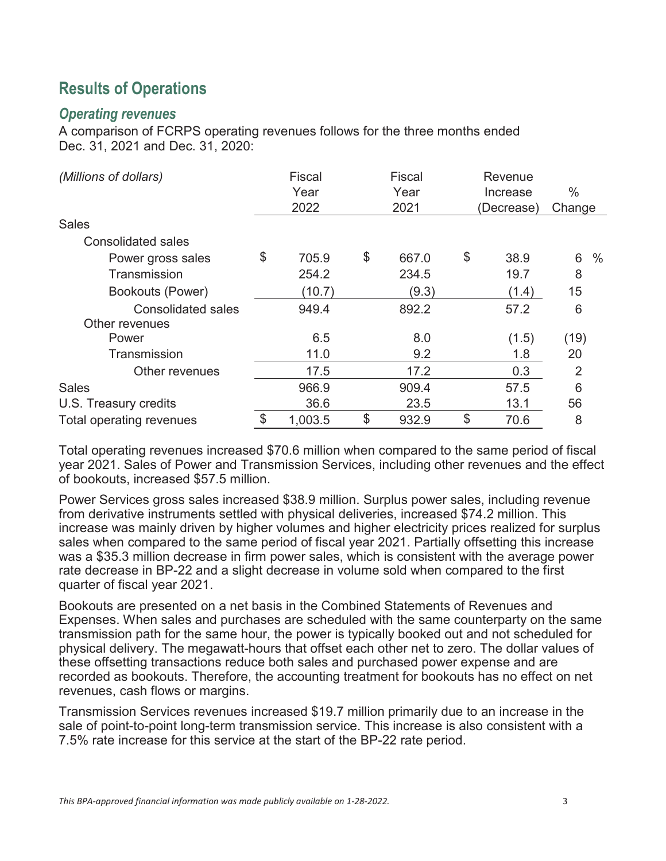## **Results of Operations**

#### *Operating revenues*

A comparison of FCRPS operating revenues follows for the three months ended Dec. 31, 2021 and Dec. 31, 2020:

| (Millions of dollars)                       | <b>Fiscal</b><br>Year<br>2022 | Fiscal<br>Year<br>2021 | Revenue<br>Increase<br>(Decrease) | $\%$<br>Change |      |
|---------------------------------------------|-------------------------------|------------------------|-----------------------------------|----------------|------|
| <b>Sales</b>                                |                               |                        |                                   |                |      |
| <b>Consolidated sales</b>                   |                               |                        |                                   |                |      |
| Power gross sales                           | \$<br>705.9                   | \$<br>667.0            | \$<br>38.9                        | 6              | $\%$ |
| Transmission                                | 254.2                         | 234.5                  | 19.7                              | 8              |      |
| Bookouts (Power)                            | (10.7)                        | (9.3)                  | (1.4)                             | 15             |      |
| <b>Consolidated sales</b><br>Other revenues | 949.4                         | 892.2                  | 57.2                              | 6              |      |
| Power                                       | 6.5                           | 8.0                    | (1.5)                             | (19)           |      |
| Transmission                                | 11.0                          | 9.2                    | 1.8                               | 20             |      |
| Other revenues                              | 17.5                          | 17.2                   | 0.3                               | 2              |      |
| <b>Sales</b>                                | 966.9                         | 909.4                  | 57.5                              | 6              |      |
| U.S. Treasury credits                       | 36.6                          | 23.5                   | 13.1                              | 56             |      |
| <b>Total operating revenues</b>             | \$<br>1,003.5                 | \$<br>932.9            | \$<br>70.6                        | 8              |      |

Total operating revenues increased \$70.6 million when compared to the same period of fiscal year 2021. Sales of Power and Transmission Services, including other revenues and the effect of bookouts, increased \$57.5 million.

Power Services gross sales increased \$38.9 million. Surplus power sales, including revenue from derivative instruments settled with physical deliveries, increased \$74.2 million. This increase was mainly driven by higher volumes and higher electricity prices realized for surplus sales when compared to the same period of fiscal year 2021. Partially offsetting this increase was a \$35.3 million decrease in firm power sales, which is consistent with the average power rate decrease in BP-22 and a slight decrease in volume sold when compared to the first quarter of fiscal year 2021.

Bookouts are presented on a net basis in the Combined Statements of Revenues and Expenses. When sales and purchases are scheduled with the same counterparty on the same transmission path for the same hour, the power is typically booked out and not scheduled for physical delivery. The megawatt-hours that offset each other net to zero. The dollar values of these offsetting transactions reduce both sales and purchased power expense and are recorded as bookouts. Therefore, the accounting treatment for bookouts has no effect on net revenues, cash flows or margins.

Transmission Services revenues increased \$19.7 million primarily due to an increase in the sale of point-to-point long-term transmission service. This increase is also consistent with a 7.5% rate increase for this service at the start of the BP-22 rate period.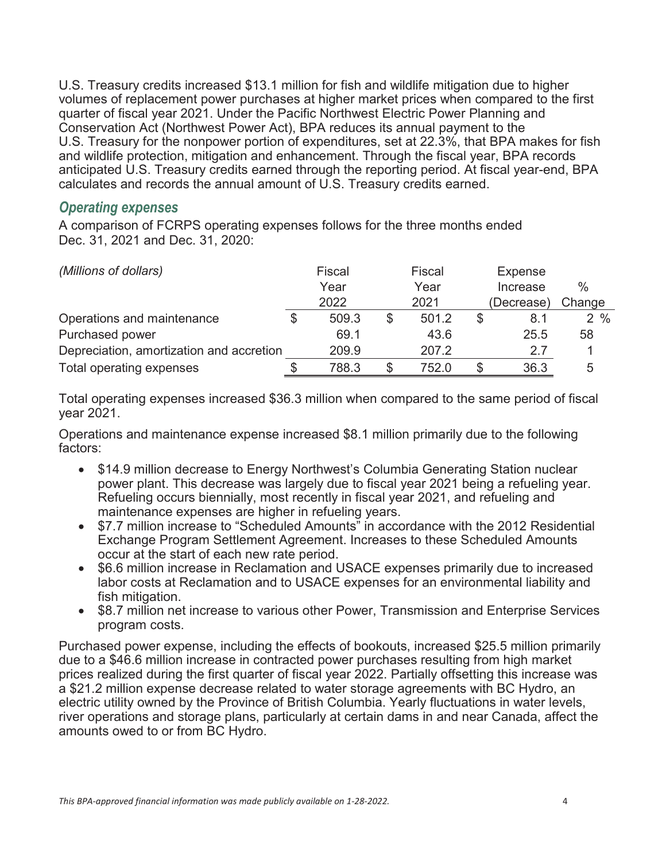U.S. Treasury credits increased \$13.1 million for fish and wildlife mitigation due to higher volumes of replacement power purchases at higher market prices when compared to the first quarter of fiscal year 2021. Under the Pacific Northwest Electric Power Planning and Conservation Act (Northwest Power Act), BPA reduces its annual payment to the U.S. Treasury for the nonpower portion of expenditures, set at 22.3%, that BPA makes for fish and wildlife protection, mitigation and enhancement. Through the fiscal year, BPA records anticipated U.S. Treasury credits earned through the reporting period. At fiscal year-end, BPA calculates and records the annual amount of U.S. Treasury credits earned.

#### *Operating expenses*

A comparison of FCRPS operating expenses follows for the three months ended Dec. 31, 2021 and Dec. 31, 2020:

| (Millions of dollars)                    |  | Fiscal |      | Fiscal |          | Expense    |        |
|------------------------------------------|--|--------|------|--------|----------|------------|--------|
|                                          |  | Year   | Year |        | Increase |            | $\%$   |
|                                          |  | 2022   |      | 2021   |          | (Decrease) | Change |
| Operations and maintenance               |  | 509.3  | \$   | 501.2  |          | 8.1        | $2\%$  |
| Purchased power                          |  | 69.1   |      | 43.6   |          | 25.5       | 58     |
| Depreciation, amortization and accretion |  | 209.9  |      | 207.2  |          | 27         |        |
| Total operating expenses                 |  | 788.3  | S    | 752.0  | S        | 36.3       | 5      |

Total operating expenses increased \$36.3 million when compared to the same period of fiscal year 2021.

Operations and maintenance expense increased \$8.1 million primarily due to the following factors:

- \$14.9 million decrease to Energy Northwest's Columbia Generating Station nuclear power plant. This decrease was largely due to fiscal year 2021 being a refueling year. Refueling occurs biennially, most recently in fiscal year 2021, and refueling and maintenance expenses are higher in refueling years.
- \$7.7 million increase to "Scheduled Amounts" in accordance with the 2012 Residential Exchange Program Settlement Agreement. Increases to these Scheduled Amounts occur at the start of each new rate period.
- \$6.6 million increase in Reclamation and USACE expenses primarily due to increased labor costs at Reclamation and to USACE expenses for an environmental liability and fish mitigation.
- \$8.7 million net increase to various other Power, Transmission and Enterprise Services program costs.

Purchased power expense, including the effects of bookouts, increased \$25.5 million primarily due to a \$46.6 million increase in contracted power purchases resulting from high market prices realized during the first quarter of fiscal year 2022. Partially offsetting this increase was a \$21.2 million expense decrease related to water storage agreements with BC Hydro, an electric utility owned by the Province of British Columbia. Yearly fluctuations in water levels, river operations and storage plans, particularly at certain dams in and near Canada, affect the amounts owed to or from BC Hydro.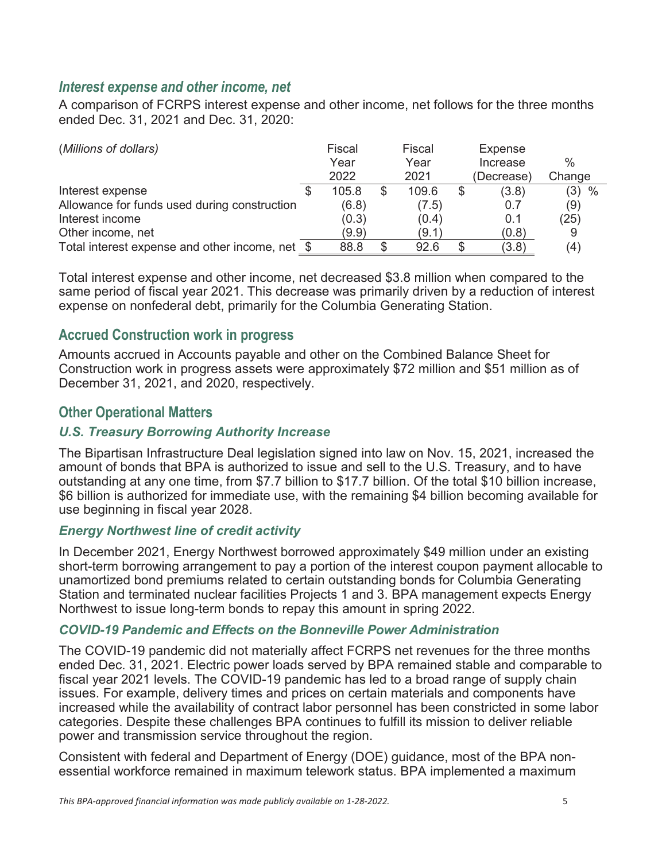#### *Interest expense and other income, net*

A comparison of FCRPS interest expense and other income, net follows for the three months ended Dec. 31, 2021 and Dec. 31, 2020:

| (Millions of dollars)                           | Fiscal |   | Fiscal | <b>Expense</b> |               |
|-------------------------------------------------|--------|---|--------|----------------|---------------|
|                                                 | Year   |   | Year   | Increase       | $\frac{0}{0}$ |
|                                                 | 2022   |   | 2021   | (Decrease)     | Change        |
| Interest expense                                | 105.8  | S | 109.6  | (3.8)          | (3)<br>$\%$   |
| Allowance for funds used during construction    | (6.8)  |   | (7.5)  | 0.7            | (9)           |
| Interest income                                 | (0.3)  |   | (0.4)  | 0.1            | (25)          |
| Other income, net                               | (9.9)  |   | (9.1)  | (0.8)          |               |
| Total interest expense and other income, net \$ | 88.8   |   | 92.6   | (3.8)          | (4            |

Total interest expense and other income, net decreased \$3.8 million when compared to the same period of fiscal year 2021. This decrease was primarily driven by a reduction of interest expense on nonfederal debt, primarily for the Columbia Generating Station.

#### **Accrued Construction work in progress**

Amounts accrued in Accounts payable and other on the Combined Balance Sheet for Construction work in progress assets were approximately \$72 million and \$51 million as of December 31, 2021, and 2020, respectively.

#### **Other Operational Matters**

#### *U.S. Treasury Borrowing Authority Increase*

The Bipartisan Infrastructure Deal legislation signed into law on Nov. 15, 2021, increased the amount of bonds that BPA is authorized to issue and sell to the U.S. Treasury, and to have outstanding at any one time, from \$7.7 billion to \$17.7 billion. Of the total \$10 billion increase, \$6 billion is authorized for immediate use, with the remaining \$4 billion becoming available for use beginning in fiscal year 2028.

#### *Energy Northwest line of credit activity*

In December 2021, Energy Northwest borrowed approximately \$49 million under an existing short-term borrowing arrangement to pay a portion of the interest coupon payment allocable to unamortized bond premiums related to certain outstanding bonds for Columbia Generating Station and terminated nuclear facilities Projects 1 and 3. BPA management expects Energy Northwest to issue long-term bonds to repay this amount in spring 2022.

#### *COVID-19 Pandemic and Effects on the Bonneville Power Administration*

The COVID-19 pandemic did not materially affect FCRPS net revenues for the three months ended Dec. 31, 2021. Electric power loads served by BPA remained stable and comparable to fiscal year 2021 levels. The COVID-19 pandemic has led to a broad range of supply chain issues. For example, delivery times and prices on certain materials and components have increased while the availability of contract labor personnel has been constricted in some labor categories. Despite these challenges BPA continues to fulfill its mission to deliver reliable power and transmission service throughout the region.

Consistent with federal and Department of Energy (DOE) guidance, most of the BPA nonessential workforce remained in maximum telework status. BPA implemented a maximum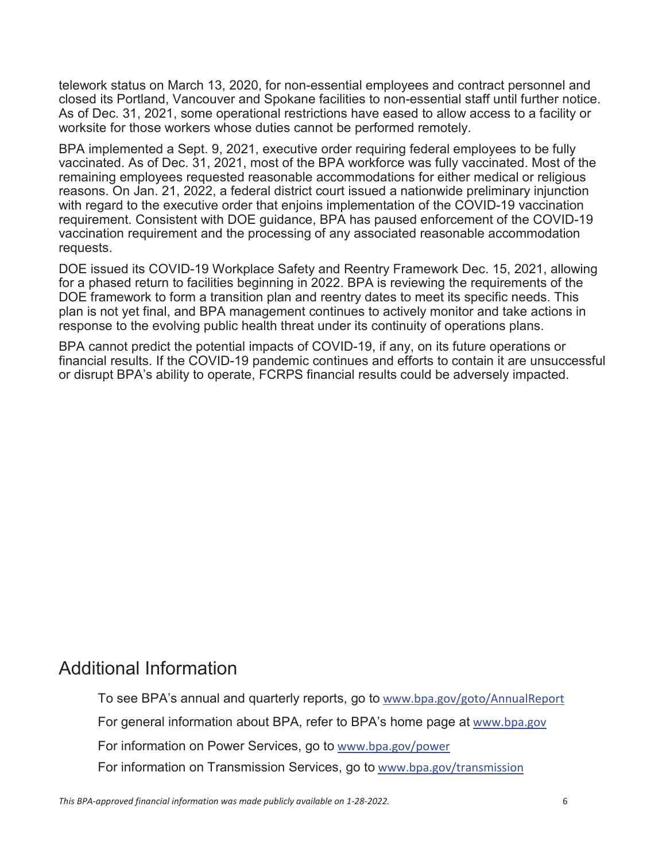telework status on March 13, 2020, for non-essential employees and contract personnel and closed its Portland, Vancouver and Spokane facilities to non-essential staff until further notice. As of Dec. 31, 2021, some operational restrictions have eased to allow access to a facility or worksite for those workers whose duties cannot be performed remotely.

BPA implemented a Sept. 9, 2021, executive order requiring federal employees to be fully vaccinated. As of Dec. 31, 2021, most of the BPA workforce was fully vaccinated. Most of the remaining employees requested reasonable accommodations for either medical or religious reasons. On Jan. 21, 2022, a federal district court issued a nationwide preliminary injunction with regard to the executive order that enjoins implementation of the COVID-19 vaccination requirement. Consistent with DOE guidance, BPA has paused enforcement of the COVID-19 vaccination requirement and the processing of any associated reasonable accommodation requests.

DOE issued its COVID-19 Workplace Safety and Reentry Framework Dec. 15, 2021, allowing for a phased return to facilities beginning in 2022. BPA is reviewing the requirements of the DOE framework to form a transition plan and reentry dates to meet its specific needs. This plan is not yet final, and BPA management continues to actively monitor and take actions in response to the evolving public health threat under its continuity of operations plans.

BPA cannot predict the potential impacts of COVID-19, if any, on its future operations or financial results. If the COVID-19 pandemic continues and efforts to contain it are unsuccessful or disrupt BPA's ability to operate, FCRPS financial results could be adversely impacted.

## Additional Information

To see BPA's annual and quarterly reports, go to www.bpa.gov/goto/AnnualReport For general information about BPA, refer to BPA's home page at www.bpa.gov For information on Power Services, go to www.bpa.gov/power For information on Transmission Services, go to www.bpa.gov/transmission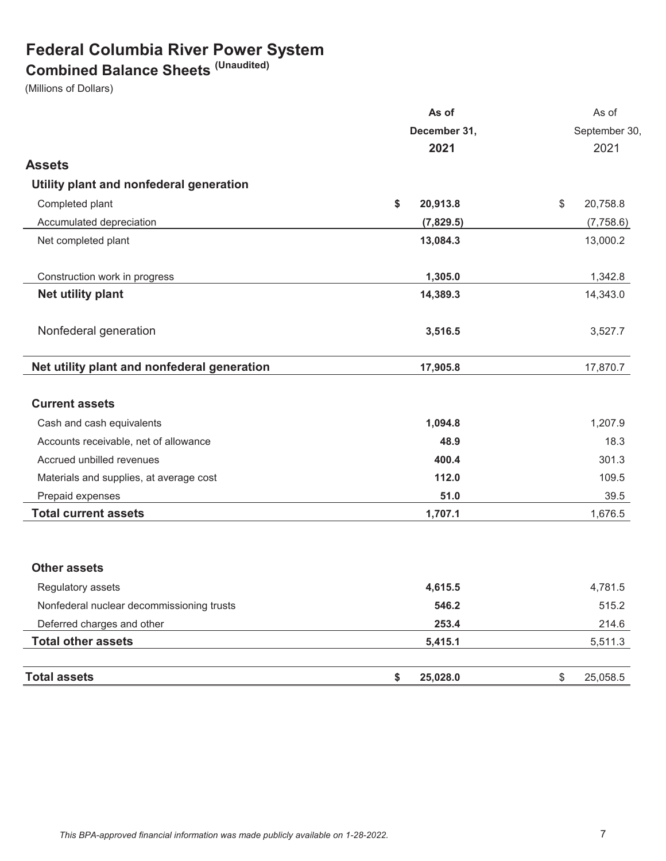## **Federal Columbia River Power System**

### **Combined Balance Sheets (Unaudited)**

(Millions of Dollars)

|                                             | As of          |                |
|---------------------------------------------|----------------|----------------|
| December 31,                                |                | September 30,  |
|                                             | 2021           | 2021           |
| <b>Assets</b>                               |                |                |
| Utility plant and nonfederal generation     |                |                |
| Completed plant                             | \$<br>20,913.8 | \$<br>20,758.8 |
| Accumulated depreciation                    | (7,829.5)      | (7,758.6)      |
| Net completed plant                         | 13,084.3       | 13,000.2       |
| Construction work in progress               | 1,305.0        | 1,342.8        |
| Net utility plant                           | 14,389.3       | 14,343.0       |
| Nonfederal generation                       | 3,516.5        | 3,527.7        |
| Net utility plant and nonfederal generation | 17,905.8       | 17,870.7       |
| <b>Current assets</b>                       |                |                |
| Cash and cash equivalents                   | 1,094.8        | 1,207.9        |
| Accounts receivable, net of allowance       | 48.9           | 18.3           |
| Accrued unbilled revenues                   | 400.4          | 301.3          |
| Materials and supplies, at average cost     | 112.0          | 109.5          |
| Prepaid expenses                            | 51.0           | 39.5           |
| <b>Total current assets</b>                 | 1,707.1        | 1,676.5        |
| <b>Other assets</b>                         |                |                |
| Regulatory assets                           | 4,615.5        | 4,781.5        |
| Nonfederal nuclear decommissioning trusts   | 546.2          | 515.2          |
| Deferred charges and other                  | 253.4          | 214.6          |
| <b>Total other assets</b>                   | 5,415.1        | 5,511.3        |
| <b>Total assets</b>                         | \$<br>25,028.0 | \$<br>25,058.5 |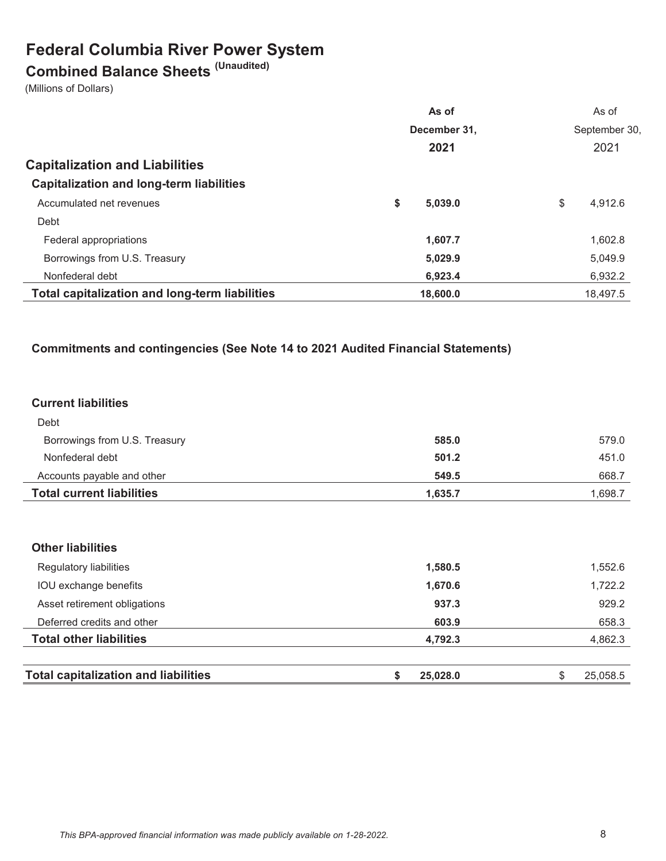## **Federal Columbia River Power System**

# **Combined Balance Sheets (Unaudited)**

(Millions of Dollars)

|                                                       | As of         | As of         |
|-------------------------------------------------------|---------------|---------------|
|                                                       | December 31,  | September 30, |
|                                                       | 2021          | 2021          |
| <b>Capitalization and Liabilities</b>                 |               |               |
| <b>Capitalization and long-term liabilities</b>       |               |               |
| Accumulated net revenues                              | \$<br>5.039.0 | \$<br>4.912.6 |
| Debt                                                  |               |               |
| Federal appropriations                                | 1,607.7       | 1,602.8       |
| Borrowings from U.S. Treasury                         | 5,029.9       | 5,049.9       |
| Nonfederal debt                                       | 6,923.4       | 6,932.2       |
| <b>Total capitalization and long-term liabilities</b> | 18,600.0      | 18.497.5      |

#### **Commitments and contingencies (See Note 14 to 2021 Audited Financial Statements)**

#### **Current liabilities**

| <b>Total current liabilities</b> | 1.635.7 | .698.7 |
|----------------------------------|---------|--------|
| Accounts payable and other       | 549.5   | 668.7  |
| Nonfederal debt                  | 501.2   | 451.0  |
| Borrowings from U.S. Treasury    | 585.0   | 579.0  |
| Debt                             |         |        |

#### **Other liabilities**

| <b>Total capitalization and liabilities</b> | 25,028,0 | 25.058.5 |
|---------------------------------------------|----------|----------|
| <b>Total other liabilities</b>              | 4,792.3  | 4,862.3  |
| Deferred credits and other                  | 603.9    | 658.3    |
| Asset retirement obligations                | 937.3    | 929.2    |
| IOU exchange benefits                       | 1,670.6  | 1,722.2  |
| Regulatory liabilities                      | 1,580.5  | 1,552.6  |
|                                             |          |          |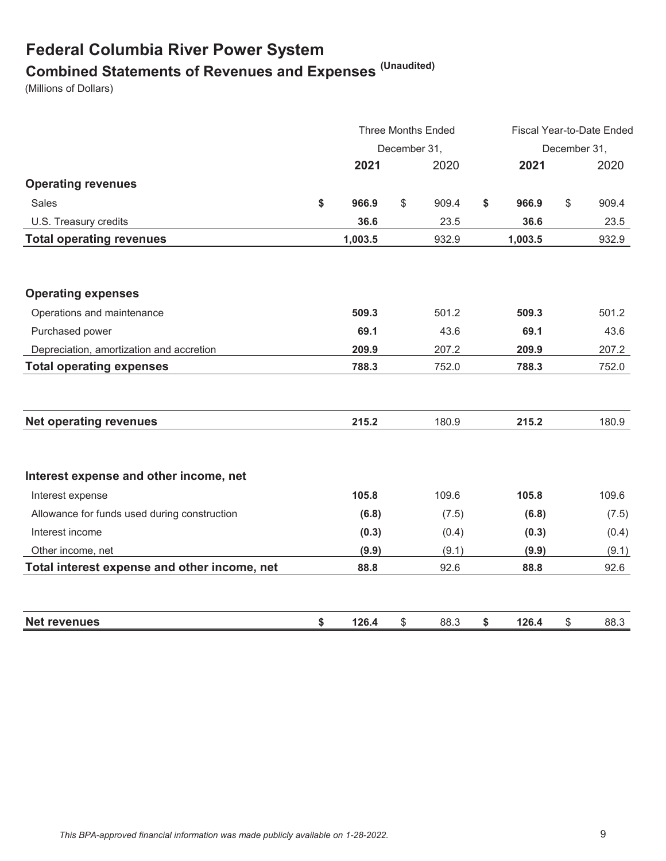## **Federal Columbia River Power System Combined Statements of Revenues and Expenses (Unaudited)**

(Millions of Dollars)

|                                              | <b>Three Months Ended</b> |    |       |    | Fiscal Year-to-Date Ended |    |       |  |
|----------------------------------------------|---------------------------|----|-------|----|---------------------------|----|-------|--|
|                                              | December 31,              |    |       |    | December 31,              |    |       |  |
|                                              | 2021                      |    | 2020  |    | 2021                      |    | 2020  |  |
| <b>Operating revenues</b>                    |                           |    |       |    |                           |    |       |  |
| Sales                                        | \$<br>966.9               | \$ | 909.4 | \$ | 966.9                     | \$ | 909.4 |  |
| U.S. Treasury credits                        | 36.6                      |    | 23.5  |    | 36.6                      |    | 23.5  |  |
| <b>Total operating revenues</b>              | 1,003.5                   |    | 932.9 |    | 1,003.5                   |    | 932.9 |  |
|                                              |                           |    |       |    |                           |    |       |  |
| <b>Operating expenses</b>                    |                           |    |       |    |                           |    |       |  |
| Operations and maintenance                   | 509.3                     |    | 501.2 |    | 509.3                     |    | 501.2 |  |
| Purchased power                              | 69.1                      |    | 43.6  |    | 69.1                      |    | 43.6  |  |
| Depreciation, amortization and accretion     | 209.9                     |    | 207.2 |    | 209.9                     |    | 207.2 |  |
| <b>Total operating expenses</b>              | 788.3                     |    | 752.0 |    | 788.3                     |    | 752.0 |  |
|                                              |                           |    |       |    |                           |    |       |  |
| <b>Net operating revenues</b>                | 215.2                     |    | 180.9 |    | 215.2                     |    | 180.9 |  |
| Interest expense and other income, net       |                           |    |       |    |                           |    |       |  |
| Interest expense                             | 105.8                     |    | 109.6 |    | 105.8                     |    | 109.6 |  |
| Allowance for funds used during construction | (6.8)                     |    | (7.5) |    | (6.8)                     |    | (7.5) |  |
| Interest income                              | (0.3)                     |    | (0.4) |    | (0.3)                     |    | (0.4) |  |
| Other income, net                            | (9.9)                     |    | (9.1) |    | (9.9)                     |    | (9.1) |  |
| Total interest expense and other income, net | 88.8                      |    | 92.6  |    | 88.8                      |    | 92.6  |  |
| <b>Net revenues</b>                          | \$<br>126.4               | \$ | 88.3  | \$ | 126.4                     | \$ | 88.3  |  |
|                                              |                           |    |       |    |                           |    |       |  |